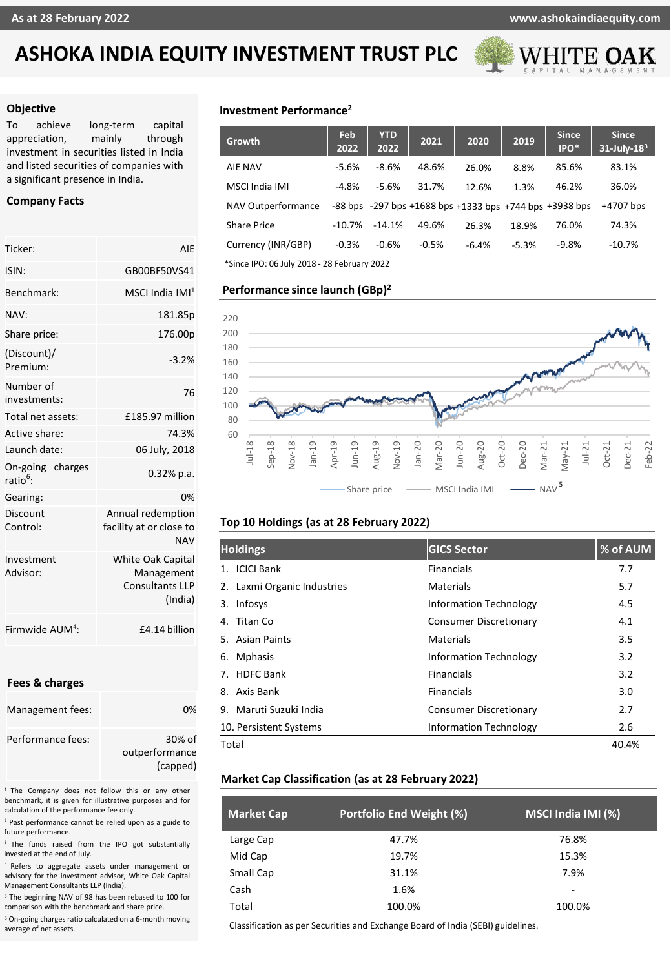## **ASHOKA INDIA EQUITY INVESTMENT TRUST PLC**



#### **Objective**

To achieve long-term capital appreciation, mainly through investment in securities listed in India and listed securities of companies with a significant presence in India.

#### **Company Facts**

| Ticker:                                  | AIE                                                                         |  |  |  |
|------------------------------------------|-----------------------------------------------------------------------------|--|--|--|
| ISIN:                                    | GB00BF50VS41                                                                |  |  |  |
| Benchmark:                               | $MSCI$ India $IMI1$                                                         |  |  |  |
| NAV:                                     | 181.85p                                                                     |  |  |  |
| Share price:                             | 176.00p                                                                     |  |  |  |
| (Discount)/<br>Premium:                  | $-3.2%$                                                                     |  |  |  |
| Number of<br>investments:                | 76                                                                          |  |  |  |
| Total net assets:                        | £185.97 million                                                             |  |  |  |
| Active share:                            | 74.3%                                                                       |  |  |  |
| Launch date:                             | 06 July, 2018                                                               |  |  |  |
| On-going charges<br>ratio <sup>6</sup> : | $0.32%$ p.a.                                                                |  |  |  |
| Gearing:                                 | 0%                                                                          |  |  |  |
| Discount<br>Control:                     | Annual redemption<br>facility at or close to<br><b>NAV</b>                  |  |  |  |
| Investment<br>Advisor:                   | <b>White Oak Capital</b><br>Management<br><b>Consultants LLP</b><br>(India) |  |  |  |
| Firmwide AUM <sup>4</sup> :              | £4.14 billion                                                               |  |  |  |

#### **Fees & charges**

| Management fees:  | በ%             |
|-------------------|----------------|
| Performance fees: | $30\%$ of      |
|                   | outperformance |
|                   | (capped)       |

<sup>1</sup> The Company does not follow this or any other benchmark, it is given for illustrative purposes and for calculation of the performance fee only.

<sup>2</sup> Past performance cannot be relied upon as a guide to future performance.

<sup>3</sup> The funds raised from the IPO got substantially invested at the end of July.

<sup>4</sup> Refers to aggregate assets under management or advisory for the investment advisor, White Oak Capital Management Consultants LLP (India).

<sup>5</sup> The beginning NAV of 98 has been rebased to 100 for comparison with the benchmark and share price.

<sup>6</sup> On-going charges ratio calculated on a 6-month moving average of net assets.

### **Investment Performance<sup>2</sup>**

| <b>Growth</b>                               | Feb<br>2022 | <b>YTD</b><br>2022 | 2021    | 2020    | 2019    | <b>Since</b><br>IPO*                                                | <b>Since</b><br>$31$ -July- $183$ |
|---------------------------------------------|-------------|--------------------|---------|---------|---------|---------------------------------------------------------------------|-----------------------------------|
| AIE NAV                                     | $-5.6%$     | $-8.6%$            | 48.6%   | 26.0%   | 8.8%    | 85.6%                                                               | 83.1%                             |
| MSCI India IMI                              | $-4.8%$     | $-5.6%$            | 31.7%   | 12.6%   | 1.3%    | 46.2%                                                               | 36.0%                             |
| NAV Outperformance                          |             |                    |         |         |         | $-88$ bps $-297$ bps $+1688$ bps $+1333$ bps $+744$ bps $+3938$ bps | +4707 bps                         |
| <b>Share Price</b>                          | $-10.7%$    | $-14.1%$           | 49.6%   | 26.3%   | 18.9%   | 76.0%                                                               | 74.3%                             |
| Currency (INR/GBP)                          | $-0.3%$     | $-0.6%$            | $-0.5%$ | $-6.4%$ | $-5.3%$ | $-9.8%$                                                             | $-10.7%$                          |
| *Since IPO: 06 July 2018 - 28 February 2022 |             |                    |         |         |         |                                                                     |                                   |

#### **Performance since launch (GBp) 2**



#### **Top 10 Holdings (as at 28 February 2022)**

| <b>Holdings</b>             | <b>GICS Sector</b>            | % of AUM |
|-----------------------------|-------------------------------|----------|
| 1. ICICI Bank               | <b>Financials</b>             | 7.7      |
| 2. Laxmi Organic Industries | Materials                     | 5.7      |
| Infosys<br>3.               | <b>Information Technology</b> | 4.5      |
| Titan Co<br>4.              | <b>Consumer Discretionary</b> | 4.1      |
| 5. Asian Paints             | Materials                     | 3.5      |
| <b>Mphasis</b><br>6.        | <b>Information Technology</b> | 3.2      |
| <b>HDFC Bank</b><br>7.      | <b>Financials</b>             | 3.2      |
| Axis Bank<br>8.             | <b>Financials</b>             | 3.0      |
| 9. Maruti Suzuki India      | <b>Consumer Discretionary</b> | 2.7      |
| 10. Persistent Systems      | <b>Information Technology</b> | 2.6      |
| Total                       |                               | 40.4%    |

#### **Market Cap Classification (as at 28 February 2022)**

| <b>Market Cap</b> | Portfolio End Weight (%) | MSCI India IMI (%) |
|-------------------|--------------------------|--------------------|
| Large Cap         | 47.7%                    | 76.8%              |
| Mid Cap           | 19.7%                    | 15.3%              |
| Small Cap         | 31.1%                    | 7.9%               |
| Cash              | 1.6%                     | ۰                  |
| Total             | 100.0%                   | 100.0%             |

Classification as per Securities and Exchange Board of India (SEBI) guidelines.